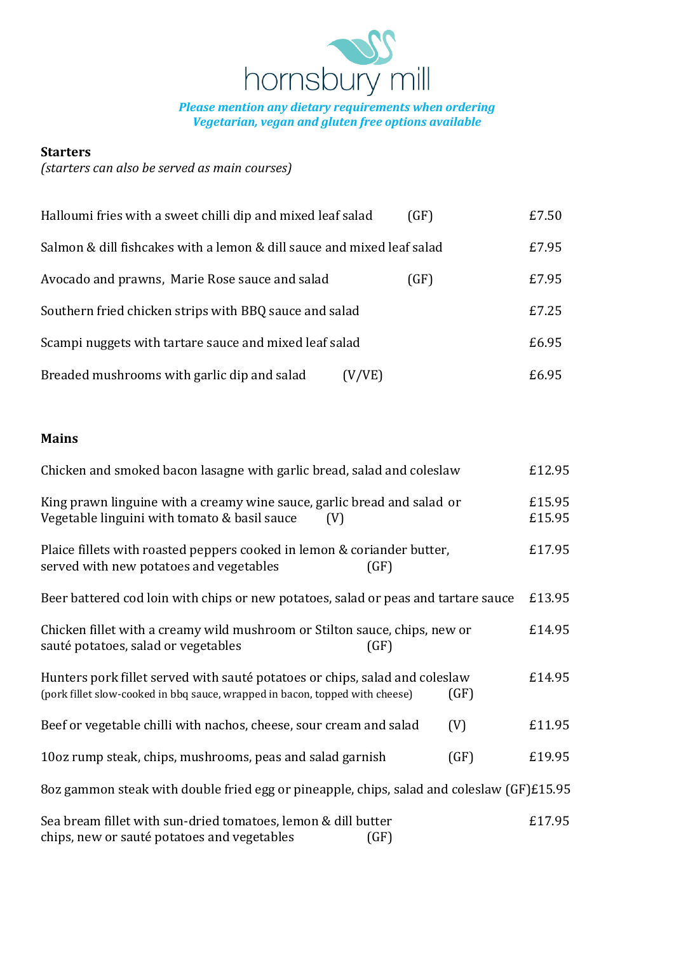

*Please mention any dietary requirements when ordering Vegetarian, vegan and gluten free options available*

## **Starters**

# *(starters can also be served as main courses)*

| Halloumi fries with a sweet chilli dip and mixed leaf salad            | (GF) | £7.50 |
|------------------------------------------------------------------------|------|-------|
| Salmon & dill fishcakes with a lemon & dill sauce and mixed leaf salad |      | £7.95 |
| Avocado and prawns, Marie Rose sauce and salad                         | (GF) | £7.95 |
| Southern fried chicken strips with BBQ sauce and salad                 |      | £7.25 |
| Scampi nuggets with tartare sauce and mixed leaf salad                 |      | £6.95 |
| Breaded mushrooms with garlic dip and salad<br>(V/VE)                  |      | £6.95 |

## **Mains**

| Chicken and smoked bacon lasagne with garlic bread, salad and coleslaw                                                                                      |      | £12.95           |
|-------------------------------------------------------------------------------------------------------------------------------------------------------------|------|------------------|
| King prawn linguine with a creamy wine sauce, garlic bread and salad or<br>Vegetable linguini with tomato & basil sauce<br>(V)                              |      | £15.95<br>£15.95 |
| Plaice fillets with roasted peppers cooked in lemon & coriander butter,<br>served with new potatoes and vegetables<br>(GF)                                  |      | £17.95           |
| Beer battered cod loin with chips or new potatoes, salad or peas and tartare sauce                                                                          |      | £13.95           |
| Chicken fillet with a creamy wild mushroom or Stilton sauce, chips, new or<br>sauté potatoes, salad or vegetables<br>(GF)                                   |      | £14.95           |
| Hunters pork fillet served with sauté potatoes or chips, salad and coleslaw<br>(pork fillet slow-cooked in bbq sauce, wrapped in bacon, topped with cheese) | (GF) | £14.95           |
| Beef or vegetable chilli with nachos, cheese, sour cream and salad                                                                                          | (V)  | £11.95           |
| 10oz rump steak, chips, mushrooms, peas and salad garnish                                                                                                   | (GF) | £19.95           |
| 8oz gammon steak with double fried egg or pineapple, chips, salad and coleslaw (GF)£15.95                                                                   |      |                  |
| Sea bream fillet with sun-dried tomatoes, lemon & dill butter<br>chips, new or sauté potatoes and vegetables<br>GF)                                         |      | £17.95           |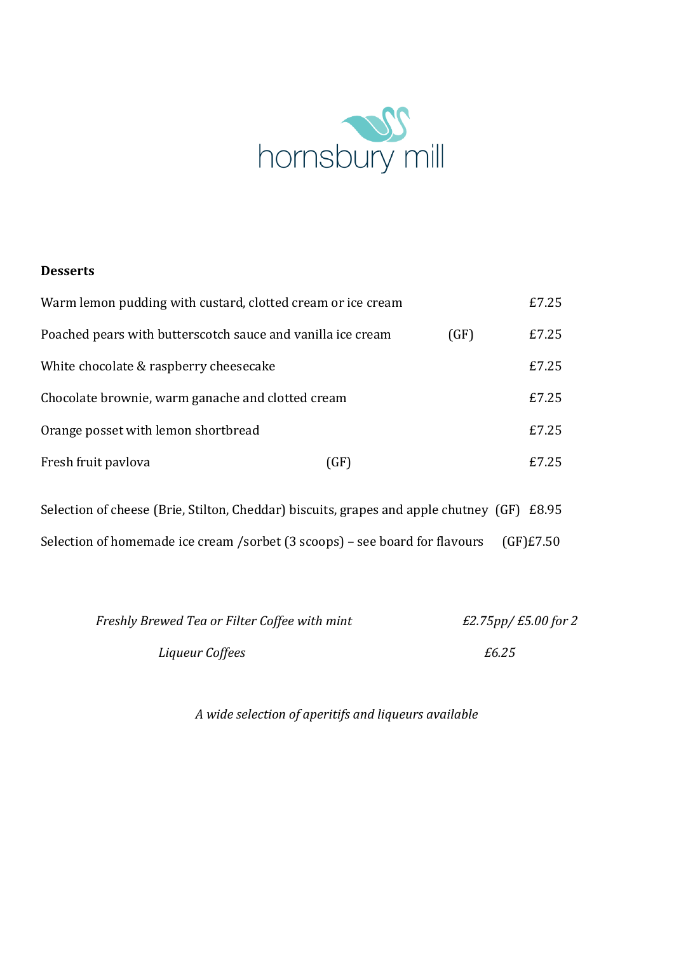

## **Desserts**

| Warm lemon pudding with custard, clotted cream or ice cream |      |      | £7.25  |
|-------------------------------------------------------------|------|------|--------|
| Poached pears with butterscotch sauce and vanilla ice cream |      | (GF) | £7.25  |
| White chocolate & raspberry cheesecake                      |      |      | £7.25  |
| Chocolate brownie, warm ganache and clotted cream           |      |      | £7.25  |
| Orange posset with lemon shortbread                         |      |      | £7.25  |
| Fresh fruit paylova                                         | (GF) |      | f.7.25 |

Selection of cheese (Brie, Stilton, Cheddar) biscuits, grapes and apple chutney (GF) £8.95 Selection of homemade ice cream /sorbet (3 scoops) – see board for flavours (GF)£7.50

| Freshly Brewed Tea or Filter Coffee with mint | $E2.75$ pp/ $E5.00$ for 2 |
|-----------------------------------------------|---------------------------|
| Liqueur Coffees                               | £6.25                     |

*A wide selection of aperitifs and liqueurs available*